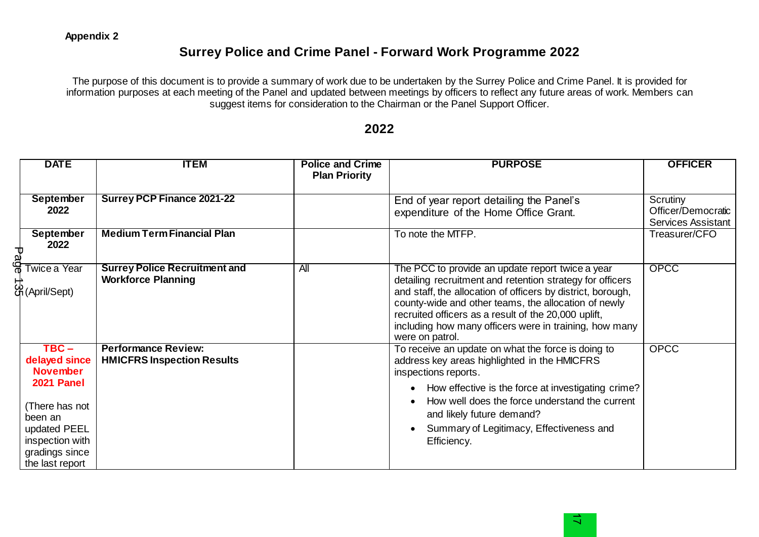the last report

# **Surrey Police and Crime Panel - Forward Work Programme 2022**

The purpose of this document is to provide a summary of work due to be undertaken by the Surrey Police and Crime Panel. It is provided for information purposes at each meeting of the Panel and updated between meetings by officers to reflect any future areas of work. Members can suggest items for consideration to the Chairman or the Panel Support Officer.

#### **DATE ITEM Police and Crime Plan Priority PURPOSE OFFICER September 2022 Surrey PCP Finance 2021-22 End of year report detailing the Panel's** expenditure of the Home Office Grant. **Scrutiny** Officer/Democratic Services Assistant **September 2022 Medium Term Financial Plan** Transform To note the MTFP. Treasurer/CFO Twice a Year Twice a Ye<br>
<del>Page 1</del><br>
Page 135<br>
Page 135<br>
Page 135<br>
Page 135<br>
Page 135<br>
Page 135<br>
Page 135<br>
Page 135<br>
Page 135<br>
Page 135<br>
Page 135<br>
Page 135<br>
Page 135<br>
Page 135<br>
Page 135<br>
Page 135<br>
Page 135<br>
Page 135<br>
Page 135<br>
Page 135<br> **Surrey Police Recruitment and Workforce Planning**  All **The PCC** to provide an update report twice a year detailing recruitment and retention strategy for officers and staff, the allocation of officers by district, borough, county-wide and other teams, the allocation of newly recruited officers as a result of the 20,000 uplift, including how many officers were in training, how many were on patrol. OPCC **TBC – delayed since November 2021 Panel** (There has not been an updated PEEL inspection with gradings since **Performance Review: HMICFRS Inspection Results**  To receive an update on what the force is doing to address key areas highlighted in the HMICFRS inspections reports. • How effective is the force at investigating crime? • How well does the force understand the current and likely future demand? • Summary of Legitimacy, Effectiveness and Efficiency. **OPCC**

### **2022**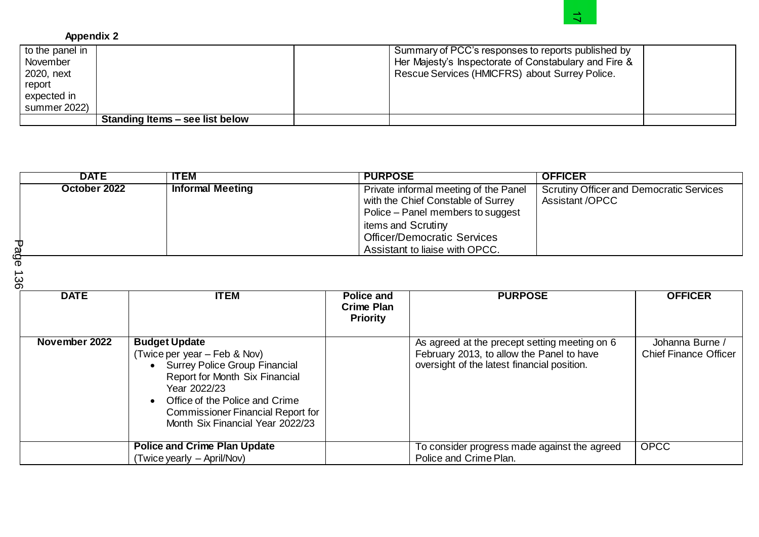# **Appendix 2**

| to the panel in |                                 | Summary of PCC's responses to reports published by    |
|-----------------|---------------------------------|-------------------------------------------------------|
| November        |                                 | Her Majesty's Inspectorate of Constabulary and Fire & |
| 2020, next      |                                 | Rescue Services (HMICFRS) about Surrey Police.        |
| report          |                                 |                                                       |
| expected in     |                                 |                                                       |
| summer 2022)    |                                 |                                                       |
|                 | Standing Items - see list below |                                                       |

| to the panel in<br>November<br>2020, next<br>report<br>expected in<br>summer 2022) |                                 | Summary of PCC's responses to reports published by<br>Her Majesty's Inspectorate of Constabulary and Fire &<br>Rescue Services (HMICFRS) about Surrey Police. |                |
|------------------------------------------------------------------------------------|---------------------------------|---------------------------------------------------------------------------------------------------------------------------------------------------------------|----------------|
|                                                                                    | Standing Items - see list below |                                                                                                                                                               |                |
|                                                                                    |                                 |                                                                                                                                                               |                |
| <b>DATE</b>                                                                        | <b>ITEM</b>                     | <b>PURPOSE</b>                                                                                                                                                | <b>OFFICER</b> |

| <b>DATE</b>   | <b>ITEM</b>                                                                                                                                                                                                                                                 | <b>Police and</b><br><b>Crime Plan</b><br><b>Priority</b> | <b>PURPOSE</b>                                                                                                                            | <b>OFFICER</b>                                  |
|---------------|-------------------------------------------------------------------------------------------------------------------------------------------------------------------------------------------------------------------------------------------------------------|-----------------------------------------------------------|-------------------------------------------------------------------------------------------------------------------------------------------|-------------------------------------------------|
| November 2022 | <b>Budget Update</b><br>(Twice per year – Feb & Nov)<br>• Surrey Police Group Financial<br>Report for Month Six Financial<br>Year 2022/23<br>Office of the Police and Crime<br><b>Commissioner Financial Report for</b><br>Month Six Financial Year 2022/23 |                                                           | As agreed at the precept setting meeting on 6<br>February 2013, to allow the Panel to have<br>oversight of the latest financial position. | Johanna Burne /<br><b>Chief Finance Officer</b> |
|               | <b>Police and Crime Plan Update</b><br>(Twice yearly – April/Nov)                                                                                                                                                                                           |                                                           | To consider progress made against the agreed<br>Police and Crime Plan.                                                                    | <b>OPCC</b>                                     |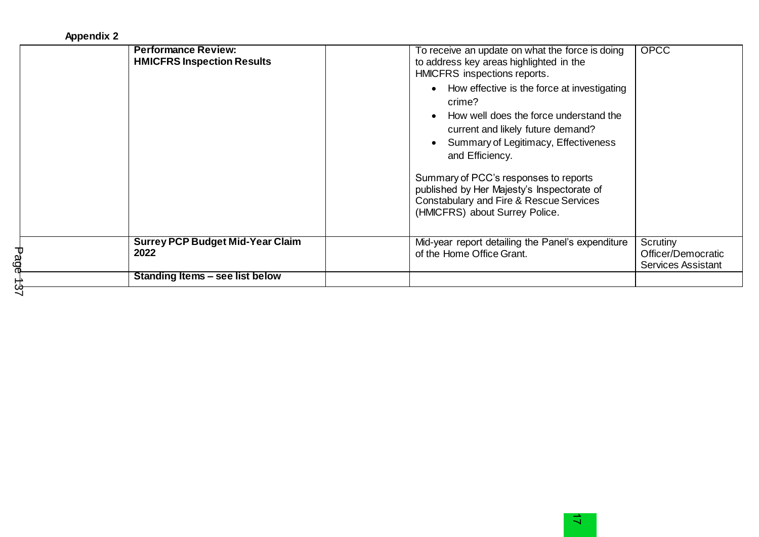## **Appendix 2**

|        | <b>Performance Review:</b><br><b>HMICFRS Inspection Results</b> | To receive an update on what the force is doing<br>to address key areas highlighted in the<br>HMICFRS inspections reports.<br>How effective is the force at investigating<br>$\bullet$<br>crime?<br>How well does the force understand the<br>$\bullet$<br>current and likely future demand?<br>Summary of Legitimacy, Effectiveness<br>$\bullet$<br>and Efficiency.<br>Summary of PCC's responses to reports<br>published by Her Majesty's Inspectorate of<br>Constabulary and Fire & Rescue Services<br>(HMICFRS) about Surrey Police. | <b>OPCC</b>                                                 |
|--------|-----------------------------------------------------------------|------------------------------------------------------------------------------------------------------------------------------------------------------------------------------------------------------------------------------------------------------------------------------------------------------------------------------------------------------------------------------------------------------------------------------------------------------------------------------------------------------------------------------------------|-------------------------------------------------------------|
| ه<br>ف | <b>Surrey PCP Budget Mid-Year Claim</b><br>2022                 | Mid-year report detailing the Panel's expenditure<br>of the Home Office Grant.                                                                                                                                                                                                                                                                                                                                                                                                                                                           | Scrutiny<br>Officer/Democratic<br><b>Services Assistant</b> |
|        | Standing Items – see list below                                 |                                                                                                                                                                                                                                                                                                                                                                                                                                                                                                                                          |                                                             |
|        |                                                                 |                                                                                                                                                                                                                                                                                                                                                                                                                                                                                                                                          |                                                             |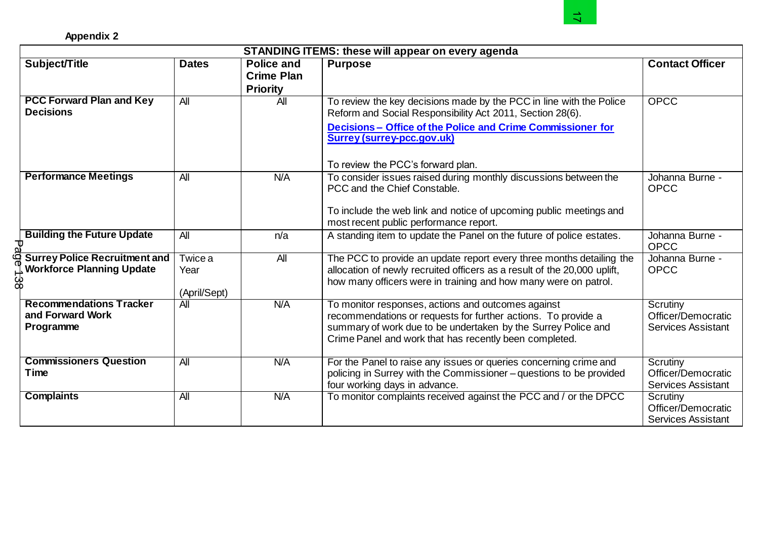|                                                                                       |                                 |                                                           | <b>STANDING ITEMS: these will appear on every agenda</b>                                                                                                                                                                                       |                                                             |
|---------------------------------------------------------------------------------------|---------------------------------|-----------------------------------------------------------|------------------------------------------------------------------------------------------------------------------------------------------------------------------------------------------------------------------------------------------------|-------------------------------------------------------------|
| Subject/Title                                                                         | <b>Dates</b>                    | <b>Police and</b><br><b>Crime Plan</b><br><b>Priority</b> | <b>Purpose</b>                                                                                                                                                                                                                                 | <b>Contact Officer</b>                                      |
| <b>PCC Forward Plan and Key</b><br><b>Decisions</b>                                   | $\overline{All}$                | $\overline{A}$                                            | To review the key decisions made by the PCC in line with the Police<br>Reform and Social Responsibility Act 2011, Section 28(6).<br>Decisions - Office of the Police and Crime Commissioner for<br>Surrey (surrey-pcc.gov.uk)                  | <b>OPCC</b>                                                 |
|                                                                                       |                                 |                                                           | To review the PCC's forward plan.                                                                                                                                                                                                              |                                                             |
| <b>Performance Meetings</b>                                                           | All                             | N/A                                                       | To consider issues raised during monthly discussions between the<br>PCC and the Chief Constable.<br>To include the web link and notice of upcoming public meetings and<br>most recent public performance report.                               | Johanna Burne -<br><b>OPCC</b>                              |
| <b>Building the Future Update</b><br>᠊ᠣ                                               | $\overline{A}$                  | n/a                                                       | A standing item to update the Panel on the future of police estates.                                                                                                                                                                           | Johanna Burne -<br><b>OPCC</b>                              |
| <b>Surrey Police Recruitment and</b><br><b>Workforce Planning Update</b><br><u>යි</u> | Twice a<br>Year<br>(April/Sept) | All                                                       | The PCC to provide an update report every three months detailing the<br>allocation of newly recruited officers as a result of the 20,000 uplift,<br>how many officers were in training and how many were on patrol.                            | Johanna Burne -<br><b>OPCC</b>                              |
| <b>Recommendations Tracker</b><br>and Forward Work<br>Programme                       | <b>All</b>                      | N/A                                                       | To monitor responses, actions and outcomes against<br>recommendations or requests for further actions. To provide a<br>summary of work due to be undertaken by the Surrey Police and<br>Crime Panel and work that has recently been completed. | Scrutiny<br>Officer/Democratic<br><b>Services Assistant</b> |
| <b>Commissioners Question</b><br>Time                                                 | $\overline{A}$                  | N/A                                                       | For the Panel to raise any issues or queries concerning crime and<br>policing in Surrey with the Commissioner - questions to be provided<br>four working days in advance.                                                                      | Scrutiny<br>Officer/Democratic<br><b>Services Assistant</b> |
| <b>Complaints</b>                                                                     | All                             | <b>N/A</b>                                                | To monitor complaints received against the PCC and / or the DPCC                                                                                                                                                                               | Scrutiny<br>Officer/Democratic<br><b>Services Assistant</b> |

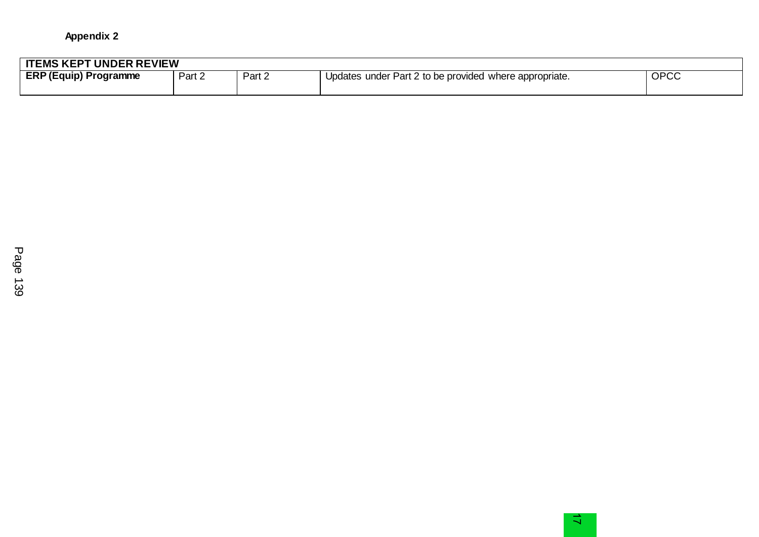| <b>ITEMS KEPT UNDER REVIEW</b> |        |        |                                                        |             |
|--------------------------------|--------|--------|--------------------------------------------------------|-------------|
| <b>ERP (Equip) Programme</b>   | Part 2 | Part 2 | Updates under Part 2 to be provided where appropriate. | <b>OPCC</b> |
|                                |        |        |                                                        |             |